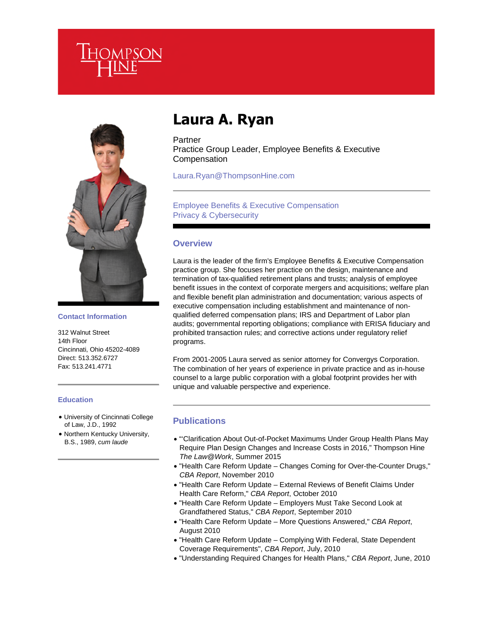



**Contact Information**

312 Walnut Street 14th Floor Cincinnati, Ohio 45202-4089 Direct: 513.352.6727 Fax: 513.241.4771

#### **Education**

- University of Cincinnati College of Law, J.D., 1992
- Northern Kentucky University, B.S., 1989, *cum laude*

# **Laura A. Ryan**

Partner Practice Group Leader, Employee Benefits & Executive **Compensation** 

Laura.Ryan@ThompsonHine.com

## Employee Benefits & Executive Compensation Privacy & Cybersecurity

### **Overview**

Laura is the leader of the firm's Employee Benefits & Executive Compensation practice group. She focuses her practice on the design, maintenance and termination of tax-qualified retirement plans and trusts; analysis of employee benefit issues in the context of corporate mergers and acquisitions; welfare plan and flexible benefit plan administration and documentation; various aspects of executive compensation including establishment and maintenance of nonqualified deferred compensation plans; IRS and Department of Labor plan audits; governmental reporting obligations; compliance with ERISA fiduciary and prohibited transaction rules; and corrective actions under regulatory relief programs.

From 2001-2005 Laura served as senior attorney for Convergys Corporation. The combination of her years of experience in private practice and as in-house counsel to a large public corporation with a global footprint provides her with unique and valuable perspective and experience.

## **Publications**

- "'Clarification About Out-of-Pocket Maximums Under Group Health Plans May Require Plan Design Changes and Increase Costs in 2016," Thompson Hine *The Law@Work*, Summer 2015
- "Health Care Reform Update Changes Coming for Over-the-Counter Drugs," *CBA Report*, November 2010
- "Health Care Reform Update External Reviews of Benefit Claims Under Health Care Reform," *CBA Report*, October 2010
- "Health Care Reform Update Employers Must Take Second Look at Grandfathered Status," *CBA Report*, September 2010
- "Health Care Reform Update More Questions Answered," *CBA Report*, August 2010
- "Health Care Reform Update Complying With Federal, State Dependent Coverage Requirements", *CBA Report*, July, 2010
- "Understanding Required Changes for Health Plans," *CBA Report*, June, 2010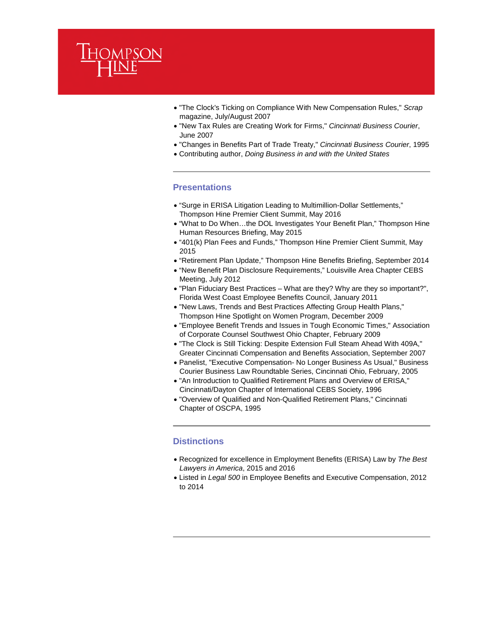

- "The Clock's Ticking on Compliance With New Compensation Rules," *Scrap* magazine, July/August 2007
- "New Tax Rules are Creating Work for Firms," *Cincinnati Business Courier*, June 2007
- "Changes in Benefits Part of Trade Treaty," *Cincinnati Business Courier*, 1995
- Contributing author, *Doing Business in and with the United States*

## **Presentations**

- "Surge in ERISA Litigation Leading to Multimillion-Dollar Settlements," Thompson Hine Premier Client Summit, May 2016
- "What to Do When…the DOL Investigates Your Benefit Plan," Thompson Hine Human Resources Briefing, May 2015
- "401(k) Plan Fees and Funds," Thompson Hine Premier Client Summit, May 2015
- "Retirement Plan Update," Thompson Hine Benefits Briefing, September 2014
- "New Benefit Plan Disclosure Requirements," Louisville Area Chapter CEBS Meeting, July 2012
- "Plan Fiduciary Best Practices What are they? Why are they so important?", Florida West Coast Employee Benefits Council, January 2011
- "New Laws, Trends and Best Practices Affecting Group Health Plans," Thompson Hine Spotlight on Women Program, December 2009
- "Employee Benefit Trends and Issues in Tough Economic Times," Association of Corporate Counsel Southwest Ohio Chapter, February 2009
- "The Clock is Still Ticking: Despite Extension Full Steam Ahead With 409A," Greater Cincinnati Compensation and Benefits Association, September 2007
- Panelist, "Executive Compensation- No Longer Business As Usual," Business Courier Business Law Roundtable Series, Cincinnati Ohio, February, 2005
- "An Introduction to Qualified Retirement Plans and Overview of ERISA," Cincinnati/Dayton Chapter of International CEBS Society, 1996
- "Overview of Qualified and Non-Qualified Retirement Plans," Cincinnati Chapter of OSCPA, 1995

#### **Distinctions**

- Recognized for excellence in Employment Benefits (ERISA) Law by *The Best Lawyers in America*, 2015 and 2016
- Listed in *Legal 500* in Employee Benefits and Executive Compensation, 2012 to 2014